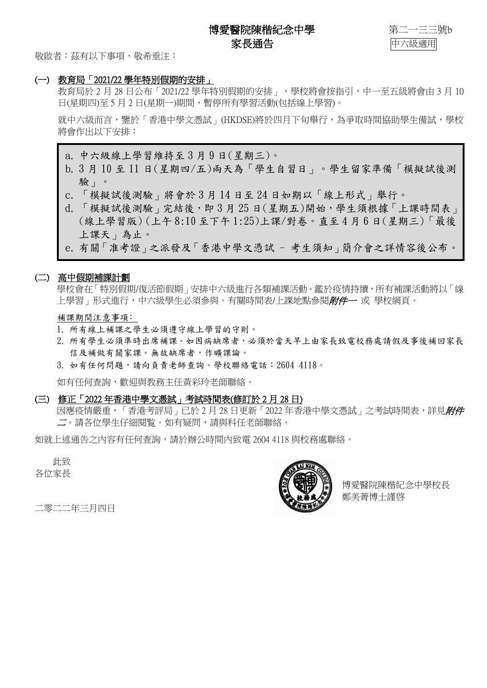博愛醫院陳楷紀念中學 离子 第二一三三號b 家長通告 中六級適用



敬啟者:茲有以下事項,敬希垂注:

#### (一) 教育局「2021/22 學年特別假期的安排」

教育局於 2 月 28 日公布「2021/22 學年特別假期的安排」, 學校將會按指引, 中一至五級將會由 3 月 10 日(星期四)至 5 月 2 日(星期一)期間,暫停所有學習活動(包括線上學習)。

就中六級而言,鑒於「香港中學文憑試」(HKDSE)將於四月下旬舉行,為爭取時間協助學生備試,學校 將會作出以下安排:

a. 中六級線上學習維持至 3 月 9 日(星期三)。

- b. 3 月 10 至 11 日(星期四/五)兩天為「學生自習日」。學生留家準備「模擬試後測 驗」。
- c. 「模擬試後測驗」將會於 3 月 14 日至 24 日如期以「線上形式」舉行。
- d. 「模擬試後測驗」完結後,即 3 月 25 日(星期五)開始,學生須根據「上課時間表」 (線上學習版) (上午 8:10 至下午 1:25)上課/對卷。直至 4 月 6 日(星期三)「最後 上課天」為止。
- e. 有關「准考證」之派發及「香港中學文憑試 考生須知」簡介會之詳情容後公布。

#### (二) 高中假期補課計劃

學校會在「特別假期/復活節假期」安排中六級進行各類補課活動。鑑於疫情持續,所有補課活動將以「線 上學習<sub>,</sub>形式進行,中六級學牛必須參與。有關時間表/上課地點參閱*附件一* 或 學校網百。

補課期間注意事項﹕

- 1. 所有線上補課之學生必須遵守線上學習的守則。
- 2. 所有學生必須準時出席補課。如因病缺席者,必須於當天早上由家長致電校務處請假及事後補回家長 信及補做有關家課。無故缺席者,作曠課論。
- 3. 如有任何問題,請向負責老師查詢。學校聯絡電話: 2604 4118。

如有任何查詢,歡迎與教務主任黃彩玲老師聯絡。

(三) 修正「2022 年香港中學文憑試」考試時間表(修訂於 2 月 28 日)

因應疫情嚴重,「香港考評局」已於 2 月 28 日更新 「2022 年香港中學文憑試」之考試時間表,詳見*附件* 二。請各位學生仔細閱覧。如有疑問,請與科任老師聯絡。

如就上述通告之內容有任何查詢,請於辦公時間內致電 2604 4118 與校務處聯絡。

此致 各位家長



博愛醫院陳楷紀念中學校長 鄭美菁博士謹啓

二零二二年三月四日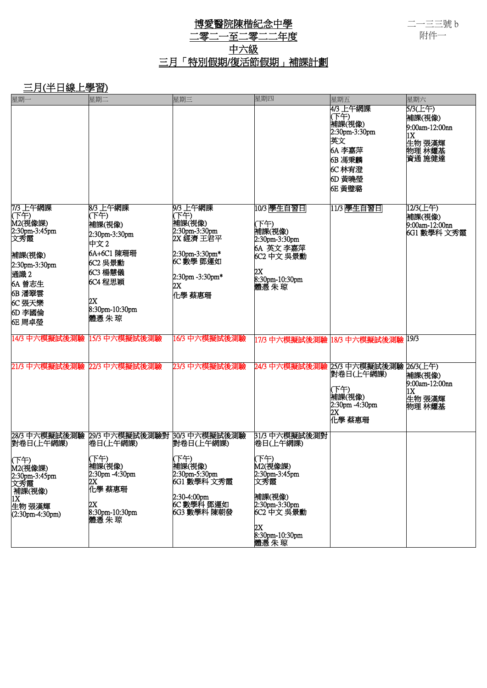二一三三號 b 附件一

### 博愛醫院陳楷紀念中學 二零二一至二零二二年度 中六級 三月「特別假期/復活節假期」補課計劃

## 三月(半日線上學習)

| 星期一                          | 星期二                                        | 星期三                               | 星期四                              | 星期五                            | 星期六                                 |
|------------------------------|--------------------------------------------|-----------------------------------|----------------------------------|--------------------------------|-------------------------------------|
|                              |                                            |                                   |                                  | 4/3 上午網課<br>(下午)<br>補課(視像)     | 5/3(上午)<br>補課(視像)<br>9:00am-12:00nn |
|                              |                                            |                                   |                                  | 2:30pm-3:30pm<br>英文            | 1X<br>生物 張漢輝                        |
|                              |                                            |                                   |                                  | 6A 李嘉萍<br>6B 馮秉麟               | 物理 林耀基<br>資通 施健達                    |
|                              |                                            |                                   |                                  | 6C 林宥澄                         |                                     |
|                              |                                            |                                   |                                  | 6D 黃曉瑩<br><b>6E 黃璧璐</b>        |                                     |
|                              |                                            |                                   |                                  |                                |                                     |
| 7/3 上午網課<br>(下午)             | 8/3 上午網課<br>(下午)                           | 9/3 上午網課<br>(下午)                  | 10/3 學生自習日                       | 11/3   學生自習日                   | 12/3(上午)<br>補課(視像)                  |
| M2(視像課)<br>2:30pm-3:45pm     | 補課(視像)<br>2:30pm-3:30pm                    | 補課(視像)<br>2:30pm-3:30pm           | (下午)<br>補課(視像)                   |                                | 9:00am-12:00nn<br>6G1 數學科 文秀霞       |
| 文秀霞                          | 中文2                                        | 2X 經濟 王君平                         | 2:30pm-3:30pm<br>6A 英文 李嘉萍       |                                |                                     |
| 補課(視像)<br>2:30pm-3:30pm      | 6A+6C1 陳珊珊<br>6C2 吳景勳                      | $2:30$ pm-3:30pm $*$<br>6C 數學 鄧運如 | 6C2 中文 吳景勳                       |                                |                                     |
| 通識2                          | 6C3 楊慧儀                                    | 2:30pm -3:30pm*                   | 2X<br>8:30pm-10:30pm             |                                |                                     |
| 6A 曾志生<br>6B 潘翠雲             | 6C4 程思穎                                    | 2X<br>化學 蔡惠珊                      | 體憑朱琼                             |                                |                                     |
| 6C 張天樂                       | 2X<br>8:30pm-10:30pm                       |                                   |                                  |                                |                                     |
| 6D 李國倫<br><b>6E 周卓瑩</b>      | 體憑朱琼                                       |                                   |                                  |                                |                                     |
| 14/3 中六模擬試後測驗  15/3 中六模擬試後測驗 |                                            | 16/3 中六模擬試後測驗                     | 17/3 中六模擬試後測驗 18/3 中六模擬試後測驗 19/3 |                                |                                     |
|                              |                                            |                                   |                                  |                                |                                     |
| 21/3 中六模擬試後測驗 22/3 中六模擬試後測驗  |                                            | 23/3 中六模擬試後測驗                     | 24/3 中六模擬試後測驗                    | 25/3 中六模擬試後測驗<br>對卷日(上午網課)     | 26/3(上午)<br>補課(視像)                  |
|                              |                                            |                                   |                                  | (下午)                           | 9:00am-12:00nn<br>1X                |
|                              |                                            |                                   |                                  | 補課(視像)<br>$2:30$ pm $-4:30$ pm | 生物 張漢輝<br>物理 林耀基                    |
|                              |                                            |                                   |                                  | 2X<br>化學 蔡惠珊                   |                                     |
| 28/3 中六模擬試後測驗<br>對卷日(上午網課)   | 29/3 中六模擬試後測驗對  30/3 中六模擬試後測驗 <br>捲日(上午網課) | 對卷日(上午網課)                         | 31/3 中六模擬試後測對<br> 卷日(上午網課)       |                                |                                     |
| (下午)                         | (下午)                                       | (下午)                              | (下午)                             |                                |                                     |
| M2(視像課)<br>2:30pm-3:45pm     | 補課(視像)<br>2:30pm -4:30pm                   | 補課(視像)<br>2:30pm-5:30pm           | M2(視像課)<br>2:30pm-3:45pm         |                                |                                     |
| 文秀霞<br>補課(視像)                | 2X<br>化學 蔡惠珊                               | 6G1 數學科 文秀霞                       | 文秀霞                              |                                |                                     |
| 1X<br>生物 張漢輝                 | 2X                                         | 2:30-4:00pm<br>6C 數學科 鄧運如         | 補課(視像)<br>2:30pm-3:30pm          |                                |                                     |
| $(2:30pm-4:30pm)$            | 8:30pm-10:30pm<br>體憑朱琼                     | 6G3 數學科 陳朝發                       | 6C2 中文 吳景勳                       |                                |                                     |
|                              |                                            |                                   | 2X<br>8:30pm-10:30pm<br>體憑朱琼     |                                |                                     |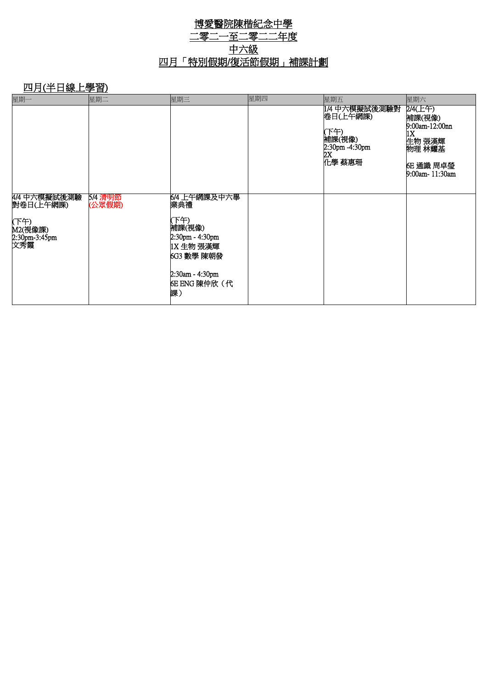## 博愛醫院陳楷紀念中學 二零二一至二零二二年度 中六級 四月「特別假期/復活節假期」補課計劃

# 四月(半日線上學習)

| 星期一                                                                  | 星期二                      | 星期三                                                                                                                               | 星期四 | 星期五                                                                         | 星期六                                                                                                   |
|----------------------------------------------------------------------|--------------------------|-----------------------------------------------------------------------------------------------------------------------------------|-----|-----------------------------------------------------------------------------|-------------------------------------------------------------------------------------------------------|
|                                                                      |                          |                                                                                                                                   |     | 14 中六模擬試後測驗對<br>卷日(上午網課)<br>下午)<br>補課(視像)<br>2:30pm -4:30pm<br>2X<br>化學 蔡惠珊 | $2/4(E+)$<br>補課(視像)<br>9:00am-12:00nn<br>1X<br>生物 張漢輝<br>物理 林耀基<br><b>6E 通識 周卓瑩</b><br>9:00am-11:30am |
| 4/4 中六模擬試後測驗<br>對卷日(上午網課)<br>(下午)<br>M2(視像課)<br>2:30pm-3:45pm<br>文秀霞 | <b>5/4 清明節</b><br>(公眾假期) | 6/4 上午網課及中六畢 <br>業典禮<br>(下午)<br>補課(視像)<br>$2:30pm - 4:30pm$<br> 1X 生物 張漢輝<br>6G3 數學 陳朝發<br>2:30am - 4:30pm<br>6E ENG 陳仲欣 (代<br>課) |     |                                                                             |                                                                                                       |